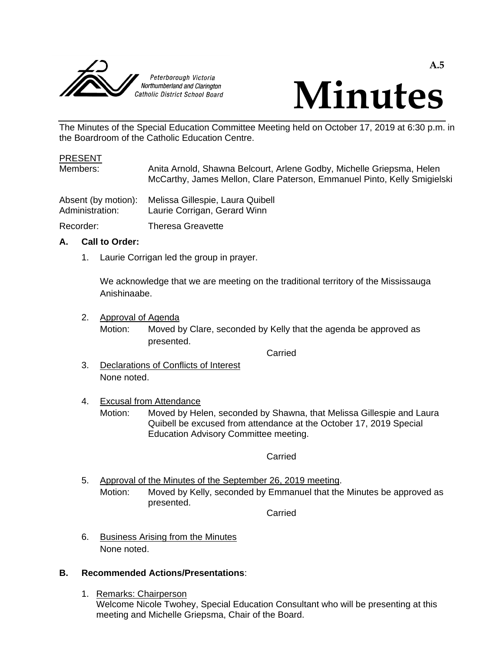



The Minutes of the Special Education Committee Meeting held on October 17, 2019 at 6:30 p.m. in the Boardroom of the Catholic Education Centre.

#### PRESENT

Members: Anita Arnold, Shawna Belcourt, Arlene Godby, Michelle Griepsma, Helen McCarthy, James Mellon, Clare Paterson, Emmanuel Pinto, Kelly Smigielski

| Absent (by motion): | Melissa Gillespie, Laura Quibell |
|---------------------|----------------------------------|
| Administration:     | Laurie Corrigan, Gerard Winn     |

Recorder: Theresa Greavette

### **A. Call to Order:**

1. Laurie Corrigan led the group in prayer.

We acknowledge that we are meeting on the traditional territory of the Mississauga Anishinaabe.

2. Approval of Agenda

Motion: Moved by Clare, seconded by Kelly that the agenda be approved as presented.

Carried

3. Declarations of Conflicts of Interest None noted.

## 4. Excusal from Attendance

Motion: Moved by Helen, seconded by Shawna, that Melissa Gillespie and Laura Quibell be excused from attendance at the October 17, 2019 Special Education Advisory Committee meeting.

#### Carried

5. Approval of the Minutes of the September 26, 2019 meeting. Motion: Moved by Kelly, seconded by Emmanuel that the Minutes be approved as presented.

Carried

6. Business Arising from the Minutes None noted.

## **B. Recommended Actions/Presentations**:

1. Remarks: Chairperson Welcome Nicole Twohey, Special Education Consultant who will be presenting at this meeting and Michelle Griepsma, Chair of the Board.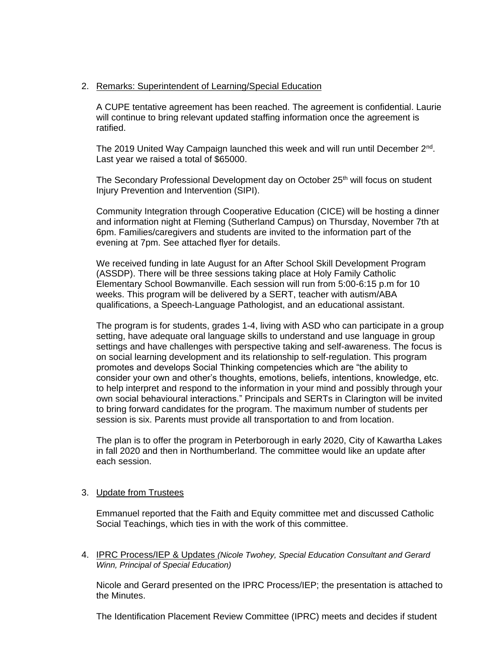### 2. Remarks: Superintendent of Learning/Special Education

A CUPE tentative agreement has been reached. The agreement is confidential. Laurie will continue to bring relevant updated staffing information once the agreement is ratified.

The 2019 United Way Campaign launched this week and will run until December 2<sup>nd</sup>. Last year we raised a total of \$65000.

The Secondary Professional Development day on October 25<sup>th</sup> will focus on student Injury Prevention and Intervention (SIPI).

Community Integration through Cooperative Education (CICE) will be hosting a dinner and information night at Fleming (Sutherland Campus) on Thursday, November 7th at 6pm. Families/caregivers and students are invited to the information part of the evening at 7pm. See attached flyer for details.

We received funding in late August for an After School Skill Development Program (ASSDP). There will be three sessions taking place at Holy Family Catholic Elementary School Bowmanville. Each session will run from 5:00-6:15 p.m for 10 weeks. This program will be delivered by a SERT, teacher with autism/ABA qualifications, a Speech-Language Pathologist, and an educational assistant.

The program is for students, grades 1-4, living with ASD who can participate in a group setting, have adequate oral language skills to understand and use language in group settings and have challenges with perspective taking and self-awareness. The focus is on social learning development and its relationship to self-regulation. This program promotes and develops Social Thinking competencies which are "the ability to consider your own and other's thoughts, emotions, beliefs, intentions, knowledge, etc. to help interpret and respond to the information in your mind and possibly through your own social behavioural interactions." Principals and SERTs in Clarington will be invited to bring forward candidates for the program. The maximum number of students per session is six. Parents must provide all transportation to and from location.

The plan is to offer the program in Peterborough in early 2020, City of Kawartha Lakes in fall 2020 and then in Northumberland. The committee would like an update after each session.

#### 3. Update from Trustees

Emmanuel reported that the Faith and Equity committee met and discussed Catholic Social Teachings, which ties in with the work of this committee.

4. IPRC Process/IEP & Updates *(Nicole Twohey, Special Education Consultant and Gerard Winn, Principal of Special Education)*

Nicole and Gerard presented on the IPRC Process/IEP; the presentation is attached to the Minutes.

The Identification Placement Review Committee (IPRC) meets and decides if student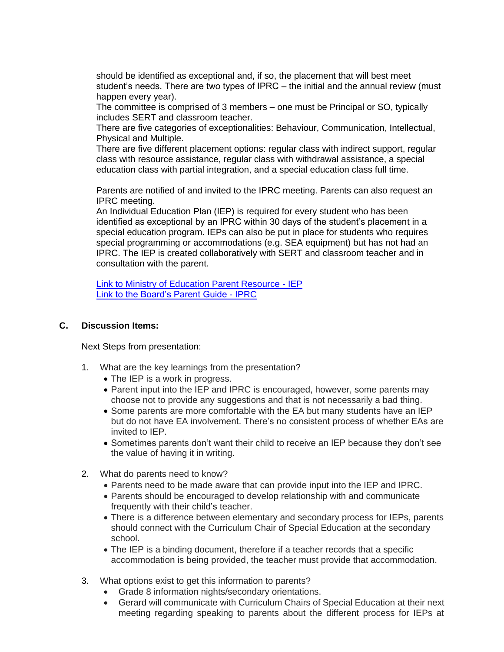should be identified as exceptional and, if so, the placement that will best meet student's needs. There are two types of IPRC – the initial and the annual review (must happen every year).

The committee is comprised of 3 members – one must be Principal or SO, typically includes SERT and classroom teacher.

There are five categories of exceptionalities: Behaviour, Communication, Intellectual, Physical and Multiple.

There are five different placement options: regular class with indirect support, regular class with resource assistance, regular class with withdrawal assistance, a special education class with partial integration, and a special education class full time.

Parents are notified of and invited to the IPRC meeting. Parents can also request an IPRC meeting.

An Individual Education Plan (IEP) is required for every student who has been identified as exceptional by an IPRC within 30 days of the student's placement in a special education program. IEPs can also be put in place for students who requires special programming or accommodations (e.g. SEA equipment) but has not had an IPRC. The IEP is created collaboratively with SERT and classroom teacher and in consultation with the parent.

[Link to Ministry of Education Parent Resource -](http://www.edu.gov.on.ca/eng/general/elemsec/speced/individu.html) IEP [Link to the Board's Parent Guide -](https://pvnccdsb.on.ca/wp-content/uploads/2018/07/Doc_636577538677007787.pdf) IPRC

### **C. Discussion Items:**

Next Steps from presentation:

- 1. What are the key learnings from the presentation?
	- The IEP is a work in progress.
	- Parent input into the IEP and IPRC is encouraged, however, some parents may choose not to provide any suggestions and that is not necessarily a bad thing.
	- Some parents are more comfortable with the EA but many students have an IEP but do not have EA involvement. There's no consistent process of whether EAs are invited to IEP.
	- Sometimes parents don't want their child to receive an IEP because they don't see the value of having it in writing.
- 2. What do parents need to know?
	- Parents need to be made aware that can provide input into the IEP and IPRC.
	- Parents should be encouraged to develop relationship with and communicate frequently with their child's teacher.
	- There is a difference between elementary and secondary process for IEPs, parents should connect with the Curriculum Chair of Special Education at the secondary school.
	- The IEP is a binding document, therefore if a teacher records that a specific accommodation is being provided, the teacher must provide that accommodation.
- 3. What options exist to get this information to parents?
	- Grade 8 information nights/secondary orientations.
	- Gerard will communicate with Curriculum Chairs of Special Education at their next meeting regarding speaking to parents about the different process for IEPs at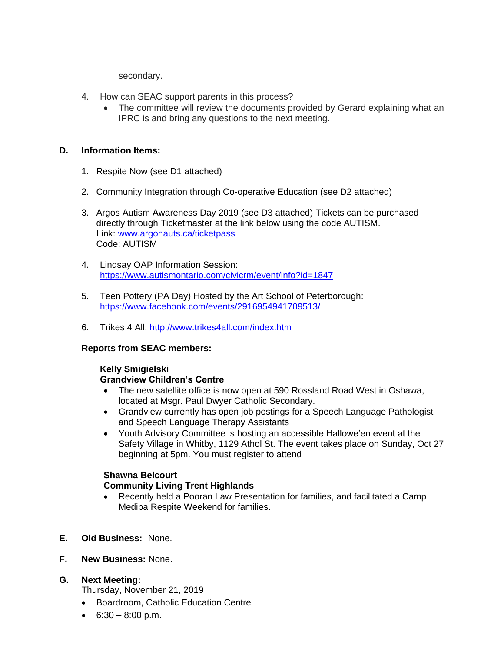secondary.

- 4. How can SEAC support parents in this process?
	- The committee will review the documents provided by Gerard explaining what an IPRC is and bring any questions to the next meeting.

### **D. Information Items:**

- 1. Respite Now (see D1 attached)
- 2. Community Integration through Co-operative Education (see D2 attached)
- 3. Argos Autism Awareness Day 2019 (see D3 attached) Tickets can be purchased directly through Ticketmaster at the link below using the code AUTISM. Link: [www.argonauts.ca/ticketpass](http://www.argonauts.ca/ticketpass) Code: AUTISM
- 4. Lindsay OAP Information Session: <https://www.autismontario.com/civicrm/event/info?id=1847>
- 5. Teen Pottery (PA Day) Hosted by the Art School of Peterborough: <https://www.facebook.com/events/2916954941709513/>
- 6. Trikes 4 All:<http://www.trikes4all.com/index.htm>

## **Reports from SEAC members:**

#### **Kelly Smigielski Grandview Children's Centre**

- The new satellite office is now open at 590 Rossland Road West in Oshawa, located at Msgr. Paul Dwyer Catholic Secondary.
- Grandview currently has open job postings for a Speech Language Pathologist and Speech Language Therapy Assistants
- Youth Advisory Committee is hosting an accessible Hallowe'en event at the Safety Village in Whitby, 1129 Athol St. The event takes place on Sunday, Oct 27 beginning at 5pm. You must register to attend

## **Shawna Belcourt Community Living Trent Highlands**

- Recently held a Pooran Law Presentation for families, and facilitated a Camp Mediba Respite Weekend for families.
- **E. Old Business:** None.
- **F. New Business:** None.

## **G. Next Meeting:**

Thursday, November 21, 2019

- Boardroom, Catholic Education Centre
- 6:30 8:00 p.m.